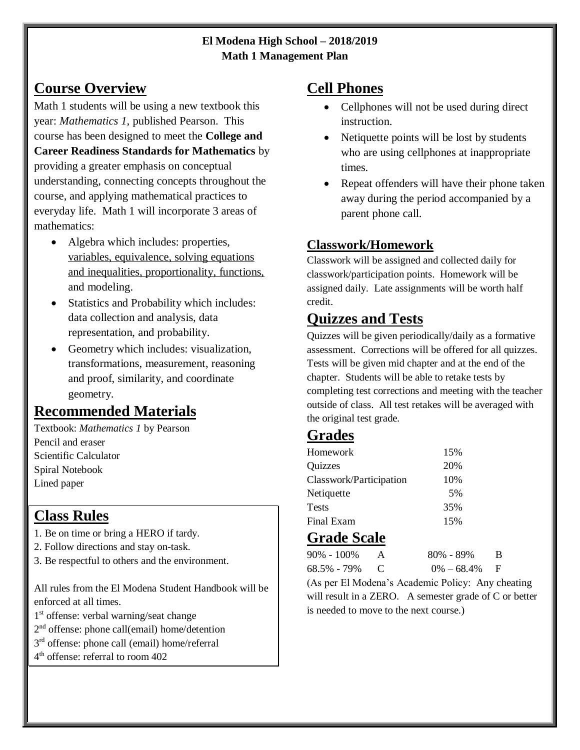#### **El Modena High School – 2018/2019 Math 1 Management Plan**

### **Course Overview**

Math 1 students will be using a new textbook this year: *Mathematics 1,* published Pearson. This course has been designed to meet the **College and Career Readiness Standards for Mathematics** by providing a greater emphasis on conceptual understanding, connecting concepts throughout the course, and applying mathematical practices to everyday life. Math 1 will incorporate 3 areas of mathematics:

- Algebra which includes: properties, variables, equivalence, solving equations and inequalities, proportionality, functions, and modeling.
- Statistics and Probability which includes: data collection and analysis, data representation, and probability.
- Geometry which includes: visualization, transformations, measurement, reasoning and proof, similarity, and coordinate geometry.

# **Recommended Materials**

Textbook: *Mathematics 1* by Pearson Pencil and eraser Scientific Calculator Spiral Notebook Lined paper

# **Class Rules**

- 1. Be on time or bring a HERO if tardy.
- 2. Follow directions and stay on-task.
- 3. Be respectful to others and the environment.

All rules from the El Modena Student Handbook will be enforced at all times.

- 1 st offense: verbal warning/seat change
- 2<sup>nd</sup> offense: phone call(email) home/detention
- 3<sup>rd</sup> offense: phone call (email) home/referral
- 4 th offense: referral to room 402

#### **Cell Phones**

- Cellphones will not be used during direct instruction.
- Netiquette points will be lost by students who are using cellphones at inappropriate times.
- Repeat offenders will have their phone taken away during the period accompanied by a parent phone call.

#### **Classwork/Homework**

Classwork will be assigned and collected daily for classwork/participation points. Homework will be assigned daily. Late assignments will be worth half credit.

# **Quizzes and Tests**

Quizzes will be given periodically/daily as a formative assessment. Corrections will be offered for all quizzes. Tests will be given mid chapter and at the end of the chapter. Students will be able to retake tests by completing test corrections and meeting with the teacher outside of class. All test retakes will be averaged with the original test grade.

#### **Grades**

| Homework                | 15% |  |
|-------------------------|-----|--|
| Quizzes                 | 20% |  |
| Classwork/Participation | 10% |  |
| Netiquette              | .5% |  |
| Tests                   | 35% |  |
| Final Exam              | 15% |  |

#### **Grade Scale**

| 90% - 100%    | A | 80% - 89%        | B. |
|---------------|---|------------------|----|
| 68.5% - 79% C |   | $0\% - 68.4\%$ F |    |

(As per El Modena's Academic Policy: Any cheating will result in a ZERO. A semester grade of C or better is needed to move to the next course.)